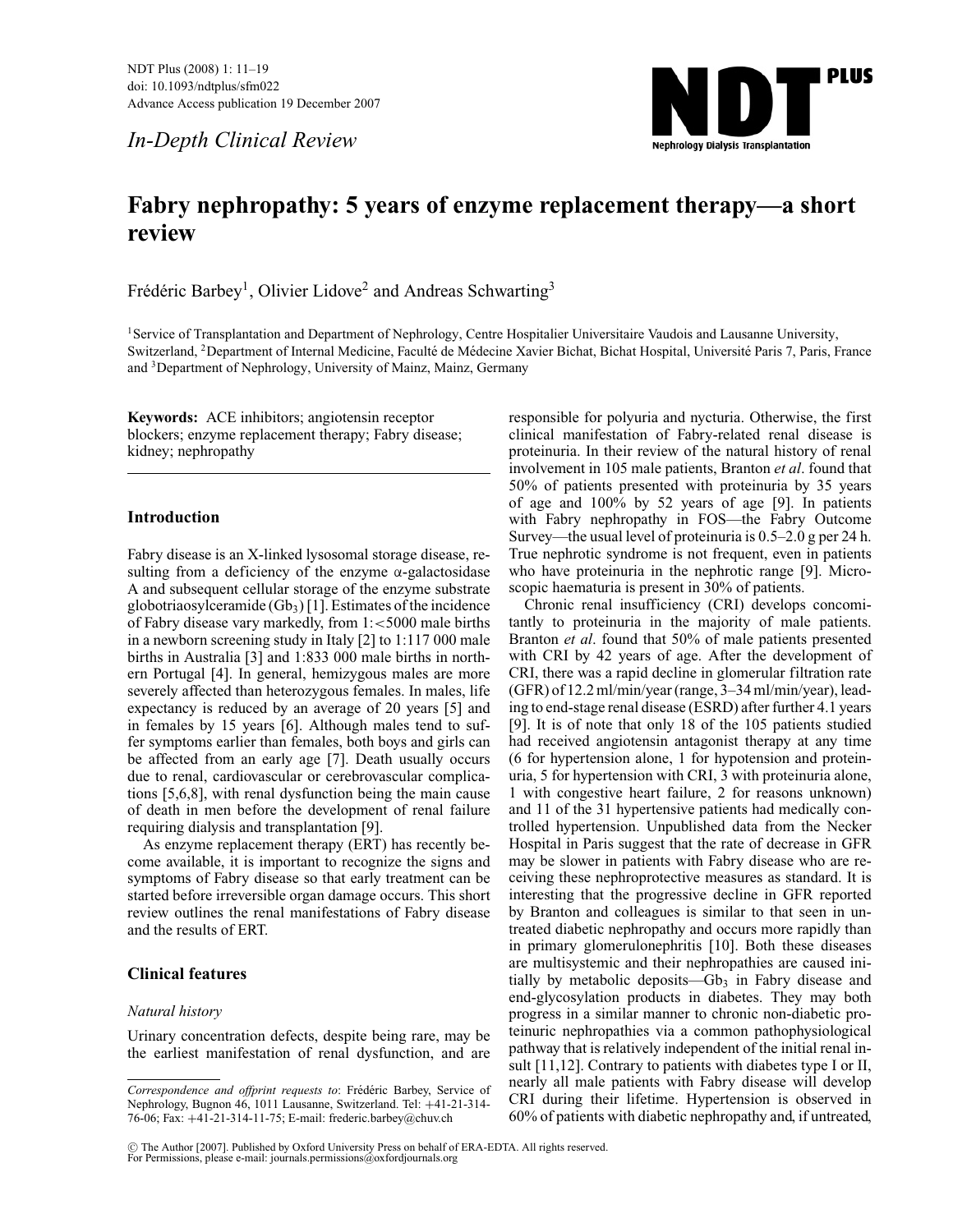*In-Depth Clinical Review*



# **Fabry nephropathy: 5 years of enzyme replacement therapy—a short review**

Frédéric Barbey<sup>1</sup>, Olivier Lidove<sup>2</sup> and Andreas Schwarting<sup>3</sup>

<sup>1</sup>Service of Transplantation and Department of Nephrology, Centre Hospitalier Universitaire Vaudois and Lausanne University, Switzerland, <sup>2</sup>Department of Internal Medicine, Faculté de Médecine Xavier Bichat, Bichat Hospital, Université Paris 7, Paris, France and 3Department of Nephrology, University of Mainz, Mainz, Germany

**Keywords:** ACE inhibitors; angiotensin receptor blockers; enzyme replacement therapy; Fabry disease; kidney; nephropathy

# **Introduction**

Fabry disease is an X-linked lysosomal storage disease, resulting from a deficiency of the enzyme  $\alpha$ -galactosidase A and subsequent cellular storage of the enzyme substrate globotriaosylceramide  $(Gb<sub>3</sub>)$  [1]. Estimates of the incidence of Fabry disease vary markedly, from 1:<5000 male births in a newborn screening study in Italy [2] to 1:117 000 male births in Australia [3] and 1:833 000 male births in northern Portugal [4]. In general, hemizygous males are more severely affected than heterozygous females. In males, life expectancy is reduced by an average of 20 years [5] and in females by 15 years [6]. Although males tend to suffer symptoms earlier than females, both boys and girls can be affected from an early age [7]. Death usually occurs due to renal, cardiovascular or cerebrovascular complications [5,6,8], with renal dysfunction being the main cause of death in men before the development of renal failure requiring dialysis and transplantation [9].

As enzyme replacement therapy (ERT) has recently become available, it is important to recognize the signs and symptoms of Fabry disease so that early treatment can be started before irreversible organ damage occurs. This short review outlines the renal manifestations of Fabry disease and the results of ERT.

# **Clinical features**

### *Natural history*

Urinary concentration defects, despite being rare, may be the earliest manifestation of renal dysfunction, and are responsible for polyuria and nycturia. Otherwise, the first clinical manifestation of Fabry-related renal disease is proteinuria. In their review of the natural history of renal involvement in 105 male patients, Branton *et al*. found that 50% of patients presented with proteinuria by 35 years of age and 100% by 52 years of age [9]. In patients with Fabry nephropathy in FOS—the Fabry Outcome Survey—the usual level of proteinuria is 0.5–2.0 g per 24 h. True nephrotic syndrome is not frequent, even in patients who have proteinuria in the nephrotic range [9]. Microscopic haematuria is present in 30% of patients.

Chronic renal insufficiency (CRI) develops concomitantly to proteinuria in the majority of male patients. Branton *et al*. found that 50% of male patients presented with CRI by 42 years of age. After the development of CRI, there was a rapid decline in glomerular filtration rate (GFR) of 12.2 ml/min/year (range, 3–34 ml/min/year), leading to end-stage renal disease (ESRD) after further 4.1 years [9]. It is of note that only 18 of the 105 patients studied had received angiotensin antagonist therapy at any time (6 for hypertension alone, 1 for hypotension and proteinuria, 5 for hypertension with CRI, 3 with proteinuria alone, 1 with congestive heart failure, 2 for reasons unknown) and 11 of the 31 hypertensive patients had medically controlled hypertension. Unpublished data from the Necker Hospital in Paris suggest that the rate of decrease in GFR may be slower in patients with Fabry disease who are receiving these nephroprotective measures as standard. It is interesting that the progressive decline in GFR reported by Branton and colleagues is similar to that seen in untreated diabetic nephropathy and occurs more rapidly than in primary glomerulonephritis [10]. Both these diseases are multisystemic and their nephropathies are caused initially by metabolic deposits— $Gb_3$  in Fabry disease and end-glycosylation products in diabetes. They may both progress in a similar manner to chronic non-diabetic proteinuric nephropathies via a common pathophysiological pathway that is relatively independent of the initial renal insult [11,12]. Contrary to patients with diabetes type I or II, nearly all male patients with Fabry disease will develop CRI during their lifetime. Hypertension is observed in 60% of patients with diabetic nephropathy and, if untreated,

<sup>C</sup> The Author [2007]. Published by Oxford University Press on behalf of ERA-EDTA. All rights reserved. For Permissions, please e-mail: journals.permissions@oxfordjournals.org

Correspondence and offprint requests to: Frédéric Barbey, Service of Nephrology, Bugnon 46, 1011 Lausanne, Switzerland. Tel: +41-21-314- 76-06; Fax: +41-21-314-11-75; E-mail: frederic.barbey@chuv.ch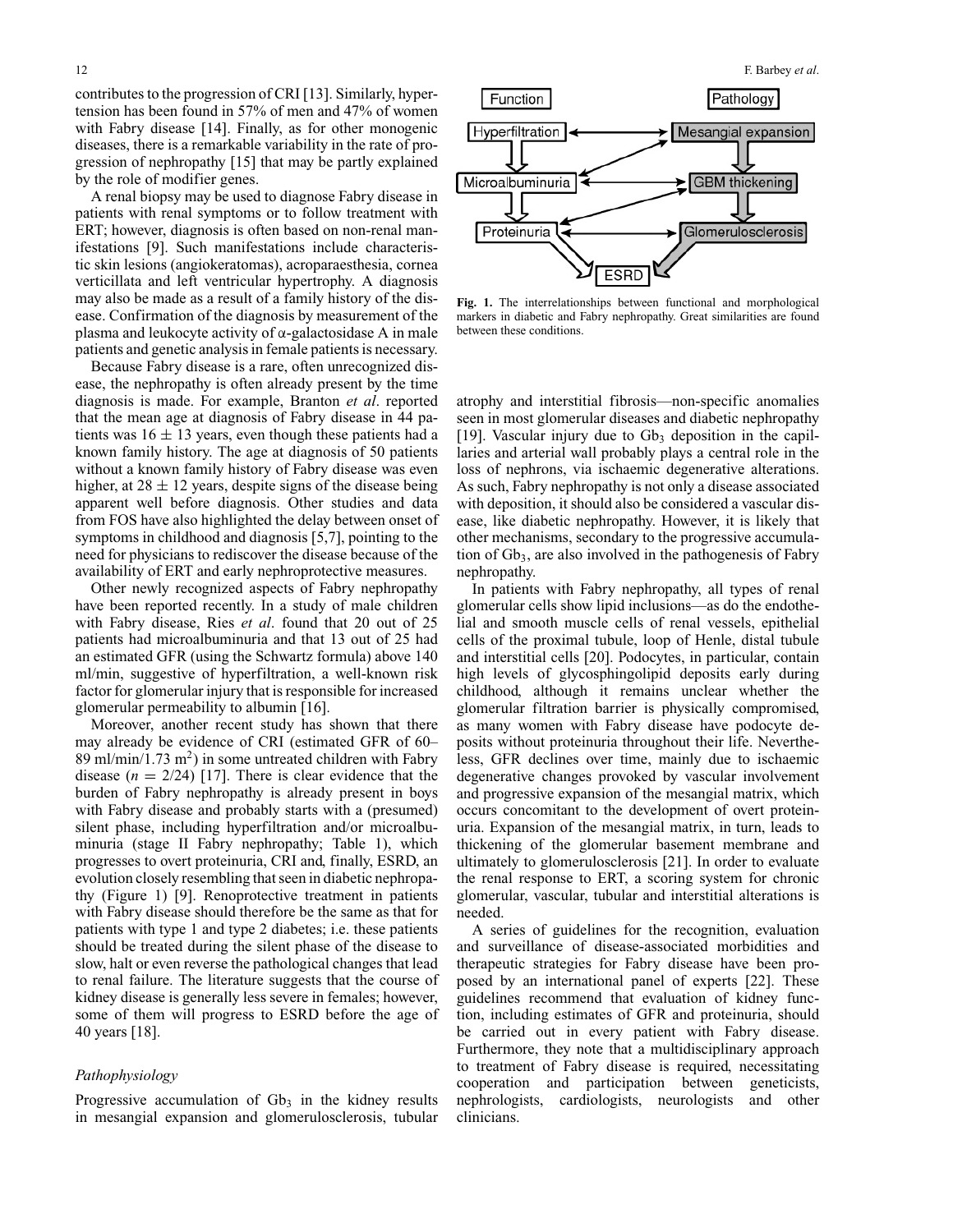contributes to the progression of CRI [13]. Similarly, hypertension has been found in 57% of men and 47% of women with Fabry disease [14]. Finally, as for other monogenic diseases, there is a remarkable variability in the rate of progression of nephropathy [15] that may be partly explained by the role of modifier genes.

A renal biopsy may be used to diagnose Fabry disease in patients with renal symptoms or to follow treatment with ERT; however, diagnosis is often based on non-renal manifestations [9]. Such manifestations include characteristic skin lesions (angiokeratomas), acroparaesthesia, cornea verticillata and left ventricular hypertrophy. A diagnosis may also be made as a result of a family history of the disease. Confirmation of the diagnosis by measurement of the plasma and leukocyte activity of  $\alpha$ -galactosidase A in male patients and genetic analysis in female patients is necessary.

Because Fabry disease is a rare, often unrecognized disease, the nephropathy is often already present by the time diagnosis is made. For example, Branton *et al*. reported that the mean age at diagnosis of Fabry disease in 44 patients was  $16 \pm 13$  years, even though these patients had a known family history. The age at diagnosis of 50 patients without a known family history of Fabry disease was even higher, at  $28 \pm 12$  years, despite signs of the disease being apparent well before diagnosis. Other studies and data from FOS have also highlighted the delay between onset of symptoms in childhood and diagnosis [5,7], pointing to the need for physicians to rediscover the disease because of the availability of ERT and early nephroprotective measures.

Other newly recognized aspects of Fabry nephropathy have been reported recently. In a study of male children with Fabry disease, Ries *et al*. found that 20 out of 25 patients had microalbuminuria and that 13 out of 25 had an estimated GFR (using the Schwartz formula) above 140 ml/min, suggestive of hyperfiltration, a well-known risk factor for glomerular injury that is responsible for increased glomerular permeability to albumin [16].

Moreover, another recent study has shown that there may already be evidence of CRI (estimated GFR of 60– 89 ml/min/1.73 m<sup>2</sup>) in some untreated children with Fabry disease  $(n = 2/24)$  [17]. There is clear evidence that the burden of Fabry nephropathy is already present in boys with Fabry disease and probably starts with a (presumed) silent phase, including hyperfiltration and/or microalbuminuria (stage II Fabry nephropathy; Table 1), which progresses to overt proteinuria, CRI and, finally, ESRD, an evolution closely resembling that seen in diabetic nephropathy (Figure 1) [9]. Renoprotective treatment in patients with Fabry disease should therefore be the same as that for patients with type 1 and type 2 diabetes; i.e. these patients should be treated during the silent phase of the disease to slow, halt or even reverse the pathological changes that lead to renal failure. The literature suggests that the course of kidney disease is generally less severe in females; however, some of them will progress to ESRD before the age of 40 years [18].

## *Pathophysiology*

Progressive accumulation of  $Gb_3$  in the kidney results in mesangial expansion and glomerulosclerosis, tubular



**Fig. 1.** The interrelationships between functional and morphological markers in diabetic and Fabry nephropathy. Great similarities are found between these conditions.

atrophy and interstitial fibrosis—non-specific anomalies seen in most glomerular diseases and diabetic nephropathy [19]. Vascular injury due to  $Gb_3$  deposition in the capillaries and arterial wall probably plays a central role in the loss of nephrons, via ischaemic degenerative alterations. As such, Fabry nephropathy is not only a disease associated with deposition, it should also be considered a vascular disease, like diabetic nephropathy. However, it is likely that other mechanisms, secondary to the progressive accumulation of  $Gb<sub>3</sub>$ , are also involved in the pathogenesis of Fabry nephropathy.

In patients with Fabry nephropathy, all types of renal glomerular cells show lipid inclusions—as do the endothelial and smooth muscle cells of renal vessels, epithelial cells of the proximal tubule, loop of Henle, distal tubule and interstitial cells [20]. Podocytes, in particular, contain high levels of glycosphingolipid deposits early during childhood, although it remains unclear whether the glomerular filtration barrier is physically compromised, as many women with Fabry disease have podocyte deposits without proteinuria throughout their life. Nevertheless, GFR declines over time, mainly due to ischaemic degenerative changes provoked by vascular involvement and progressive expansion of the mesangial matrix, which occurs concomitant to the development of overt proteinuria. Expansion of the mesangial matrix, in turn, leads to thickening of the glomerular basement membrane and ultimately to glomerulosclerosis [21]. In order to evaluate the renal response to ERT, a scoring system for chronic glomerular, vascular, tubular and interstitial alterations is needed.

A series of guidelines for the recognition, evaluation and surveillance of disease-associated morbidities and therapeutic strategies for Fabry disease have been proposed by an international panel of experts [22]. These guidelines recommend that evaluation of kidney function, including estimates of GFR and proteinuria, should be carried out in every patient with Fabry disease. Furthermore, they note that a multidisciplinary approach to treatment of Fabry disease is required, necessitating cooperation and participation between geneticists, nephrologists, cardiologists, neurologists and other clinicians.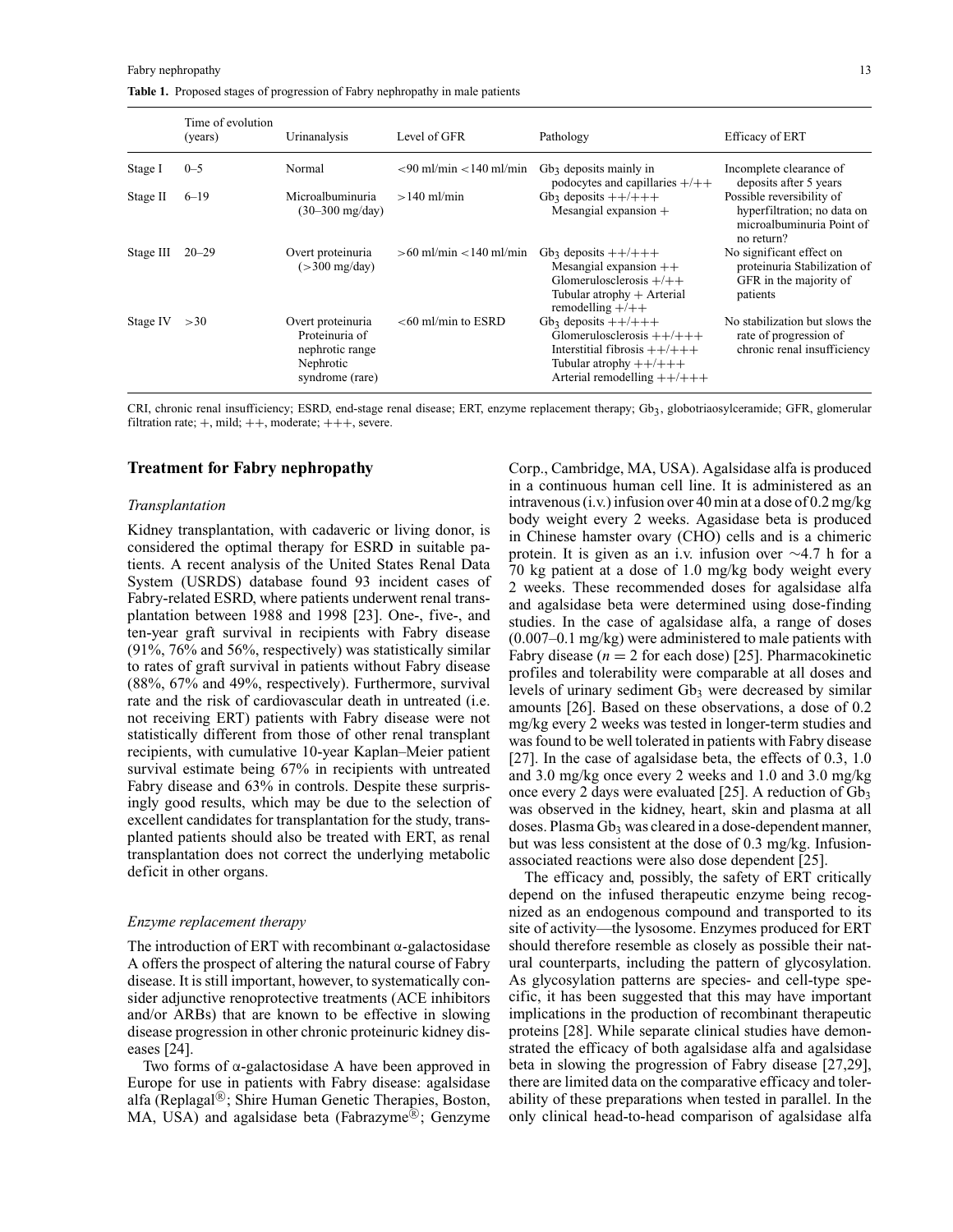**Table 1.** Proposed stages of progression of Fabry nephropathy in male patients

|           | Time of evolution<br>(years) | Urinanalysis                                                                           | Level of GFR                                                   | Pathology                                                                                                                                          | Efficacy of ERT                                                                                     |
|-----------|------------------------------|----------------------------------------------------------------------------------------|----------------------------------------------------------------|----------------------------------------------------------------------------------------------------------------------------------------------------|-----------------------------------------------------------------------------------------------------|
| Stage I   | $0 - 5$                      | Normal                                                                                 | $\langle 90 \text{ ml/min} \langle 140 \text{ ml/min} \rangle$ | $Gb3$ deposits mainly in<br>podocytes and capillaries $+/+$                                                                                        | Incomplete clearance of<br>deposits after 5 years                                                   |
| Stage II  | $6 - 19$                     | Microalbuminuria<br>$(30 - 300 \text{ mg/day})$                                        | $>140$ ml/min                                                  | $Gb_3$ deposits $++/++$<br>Mesangial expansion +                                                                                                   | Possible reversibility of<br>hyperfiltration; no data on<br>microalbuminuria Point of<br>no return? |
| Stage III | $20 - 29$                    | Overt proteinuria<br>$($ >300 mg/day)                                                  | $>60$ ml/min $<$ 140 ml/min                                    | $Gb_3$ deposits $++/++$<br>Mesangial expansion $++$<br>Glomerulosclerosis $+/+$<br>Tubular atrophy $+$ Arterial<br>remodelling $+/+$               | No significant effect on<br>proteinuria Stabilization of<br>GFR in the majority of<br>patients      |
| Stage IV  | >30                          | Overt proteinuria<br>Proteinuria of<br>nephrotic range<br>Nephrotic<br>syndrome (rare) | $<$ 60 ml/min to ESRD                                          | $Gb_3$ deposits $++/++$<br>Glomerulosclerosis $++/+++$<br>Interstitial fibrosis $++/++$<br>Tubular atrophy $++/++$<br>Arterial remodelling $++/++$ | No stabilization but slows the<br>rate of progression of<br>chronic renal insufficiency             |

CRI, chronic renal insufficiency; ESRD, end-stage renal disease; ERT, enzyme replacement therapy; Gb3, globotriaosylceramide; GFR, glomerular filtration rate;  $+,$  mild;  $++$ , moderate;  $++$ , severe.

## **Treatment for Fabry nephropathy**

#### *Transplantation*

Kidney transplantation, with cadaveric or living donor, is considered the optimal therapy for ESRD in suitable patients. A recent analysis of the United States Renal Data System (USRDS) database found 93 incident cases of Fabry-related ESRD, where patients underwent renal transplantation between 1988 and 1998 [23]. One-, five-, and ten-year graft survival in recipients with Fabry disease (91%, 76% and 56%, respectively) was statistically similar to rates of graft survival in patients without Fabry disease (88%, 67% and 49%, respectively). Furthermore, survival rate and the risk of cardiovascular death in untreated (i.e. not receiving ERT) patients with Fabry disease were not statistically different from those of other renal transplant recipients, with cumulative 10-year Kaplan–Meier patient survival estimate being 67% in recipients with untreated Fabry disease and 63% in controls. Despite these surprisingly good results, which may be due to the selection of excellent candidates for transplantation for the study, transplanted patients should also be treated with ERT, as renal transplantation does not correct the underlying metabolic deficit in other organs.

#### *Enzyme replacement therapy*

The introduction of ERT with recombinant  $\alpha$ -galactosidase A offers the prospect of altering the natural course of Fabry disease. It is still important, however, to systematically consider adjunctive renoprotective treatments (ACE inhibitors and/or ARBs) that are known to be effective in slowing disease progression in other chronic proteinuric kidney diseases [24].

Two forms of α-galactosidase A have been approved in Europe for use in patients with Fabry disease: agalsidase alfa (Replagal $\mathbb{B}$ ; Shire Human Genetic Therapies, Boston, MA, USA) and agalsidase beta (Fabrazyme<sup>®</sup>; Genzyme

Corp., Cambridge, MA, USA). Agalsidase alfa is produced in a continuous human cell line. It is administered as an intravenous (i.v.) infusion over 40 min at a dose of 0.2 mg/kg body weight every 2 weeks. Agasidase beta is produced in Chinese hamster ovary (CHO) cells and is a chimeric protein. It is given as an i.v. infusion over ∼4.7 h for a 70 kg patient at a dose of 1.0 mg/kg body weight every 2 weeks. These recommended doses for agalsidase alfa and agalsidase beta were determined using dose-finding studies. In the case of agalsidase alfa, a range of doses (0.007–0.1 mg/kg) were administered to male patients with Fabry disease ( $n = 2$  for each dose) [25]. Pharmacokinetic profiles and tolerability were comparable at all doses and levels of urinary sediment  $Gb_3$  were decreased by similar amounts [26]. Based on these observations, a dose of 0.2 mg/kg every 2 weeks was tested in longer-term studies and was found to be well tolerated in patients with Fabry disease [27]. In the case of agalsidase beta, the effects of 0.3, 1.0 and 3.0 mg/kg once every 2 weeks and 1.0 and 3.0 mg/kg once every 2 days were evaluated [25]. A reduction of  $Gb<sub>3</sub>$ was observed in the kidney, heart, skin and plasma at all doses. Plasma Gb<sub>3</sub> was cleared in a dose-dependent manner, but was less consistent at the dose of 0.3 mg/kg. Infusionassociated reactions were also dose dependent [25].

The efficacy and, possibly, the safety of ERT critically depend on the infused therapeutic enzyme being recognized as an endogenous compound and transported to its site of activity—the lysosome. Enzymes produced for ERT should therefore resemble as closely as possible their natural counterparts, including the pattern of glycosylation. As glycosylation patterns are species- and cell-type specific, it has been suggested that this may have important implications in the production of recombinant therapeutic proteins [28]. While separate clinical studies have demonstrated the efficacy of both agalsidase alfa and agalsidase beta in slowing the progression of Fabry disease [27,29], there are limited data on the comparative efficacy and tolerability of these preparations when tested in parallel. In the only clinical head-to-head comparison of agalsidase alfa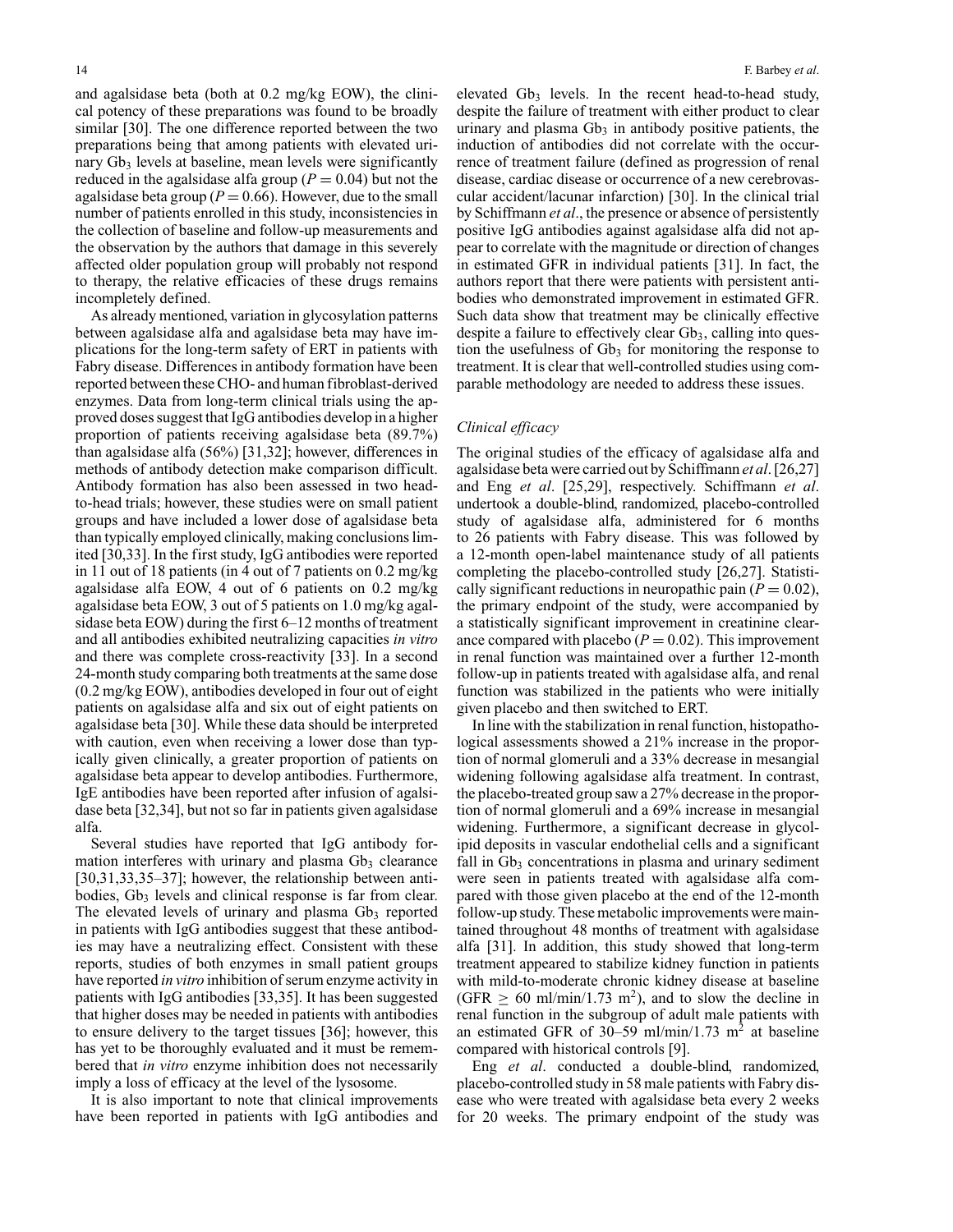and agalsidase beta (both at 0.2 mg/kg EOW), the clinical potency of these preparations was found to be broadly similar [30]. The one difference reported between the two preparations being that among patients with elevated urinary Gb<sub>3</sub> levels at baseline, mean levels were significantly reduced in the agalsidase alfa group ( $P = 0.04$ ) but not the agalsidase beta group ( $P = 0.66$ ). However, due to the small number of patients enrolled in this study, inconsistencies in the collection of baseline and follow-up measurements and the observation by the authors that damage in this severely affected older population group will probably not respond to therapy, the relative efficacies of these drugs remains incompletely defined.

As already mentioned, variation in glycosylation patterns between agalsidase alfa and agalsidase beta may have implications for the long-term safety of ERT in patients with Fabry disease. Differences in antibody formation have been reported between these CHO- and human fibroblast-derived enzymes. Data from long-term clinical trials using the approved doses suggest that IgG antibodies develop in a higher proportion of patients receiving agalsidase beta (89.7%) than agalsidase alfa (56%) [31,32]; however, differences in methods of antibody detection make comparison difficult. Antibody formation has also been assessed in two headto-head trials; however, these studies were on small patient groups and have included a lower dose of agalsidase beta than typically employed clinically, making conclusions limited [30,33]. In the first study, IgG antibodies were reported in 11 out of 18 patients (in 4 out of 7 patients on 0.2 mg/kg agalsidase alfa EOW, 4 out of 6 patients on 0.2 mg/kg agalsidase beta EOW, 3 out of 5 patients on 1.0 mg/kg agalsidase beta EOW) during the first 6–12 months of treatment and all antibodies exhibited neutralizing capacities *in vitro* and there was complete cross-reactivity [33]. In a second 24-month study comparing both treatments at the same dose (0.2 mg/kg EOW), antibodies developed in four out of eight patients on agalsidase alfa and six out of eight patients on agalsidase beta [30]. While these data should be interpreted with caution, even when receiving a lower dose than typically given clinically, a greater proportion of patients on agalsidase beta appear to develop antibodies. Furthermore, IgE antibodies have been reported after infusion of agalsidase beta [32,34], but not so far in patients given agalsidase alfa.

Several studies have reported that IgG antibody formation interferes with urinary and plasma  $Gb<sub>3</sub>$  clearance [30,31,33,35–37]; however, the relationship between antibodies,  $Gb<sub>3</sub>$  levels and clinical response is far from clear. The elevated levels of urinary and plasma  $Gb<sub>3</sub>$  reported in patients with IgG antibodies suggest that these antibodies may have a neutralizing effect. Consistent with these reports, studies of both enzymes in small patient groups have reported *in vitro* inhibition of serum enzyme activity in patients with IgG antibodies [33,35]. It has been suggested that higher doses may be needed in patients with antibodies to ensure delivery to the target tissues [36]; however, this has yet to be thoroughly evaluated and it must be remembered that *in vitro* enzyme inhibition does not necessarily imply a loss of efficacy at the level of the lysosome.

It is also important to note that clinical improvements have been reported in patients with IgG antibodies and

elevated  $Gb<sub>3</sub>$  levels. In the recent head-to-head study, despite the failure of treatment with either product to clear urinary and plasma  $Gb<sub>3</sub>$  in antibody positive patients, the induction of antibodies did not correlate with the occurrence of treatment failure (defined as progression of renal disease, cardiac disease or occurrence of a new cerebrovascular accident/lacunar infarction) [30]. In the clinical trial by Schiffmann *et al*., the presence or absence of persistently positive IgG antibodies against agalsidase alfa did not appear to correlate with the magnitude or direction of changes in estimated GFR in individual patients [31]. In fact, the authors report that there were patients with persistent antibodies who demonstrated improvement in estimated GFR. Such data show that treatment may be clinically effective despite a failure to effectively clear  $Gb<sub>3</sub>$ , calling into question the usefulness of  $Gb<sub>3</sub>$  for monitoring the response to treatment. It is clear that well-controlled studies using comparable methodology are needed to address these issues.

## *Clinical efficacy*

The original studies of the efficacy of agalsidase alfa and agalsidase beta were carried out by Schiffmann *et al*. [26,27] and Eng *et al*. [25,29], respectively. Schiffmann *et al*. undertook a double-blind, randomized, placebo-controlled study of agalsidase alfa, administered for 6 months to 26 patients with Fabry disease. This was followed by a 12-month open-label maintenance study of all patients completing the placebo-controlled study [26,27]. Statistically significant reductions in neuropathic pain  $(P = 0.02)$ , the primary endpoint of the study, were accompanied by a statistically significant improvement in creatinine clearance compared with placebo  $(P = 0.02)$ . This improvement in renal function was maintained over a further 12-month follow-up in patients treated with agalsidase alfa, and renal function was stabilized in the patients who were initially given placebo and then switched to ERT.

In line with the stabilization in renal function, histopathological assessments showed a 21% increase in the proportion of normal glomeruli and a 33% decrease in mesangial widening following agalsidase alfa treatment. In contrast, the placebo-treated group saw a 27% decrease in the proportion of normal glomeruli and a 69% increase in mesangial widening. Furthermore, a significant decrease in glycolipid deposits in vascular endothelial cells and a significant fall in  $Gb_3$  concentrations in plasma and urinary sediment were seen in patients treated with agalsidase alfa compared with those given placebo at the end of the 12-month follow-up study. These metabolic improvements were maintained throughout 48 months of treatment with agalsidase alfa [31]. In addition, this study showed that long-term treatment appeared to stabilize kidney function in patients with mild-to-moderate chronic kidney disease at baseline  $(GFR \ge 60 \text{ ml/min}/1.73 \text{ m}^2)$ , and to slow the decline in renal function in the subgroup of adult male patients with an estimated GFR of 30–59 ml/min/1.73 m<sup>2</sup> at baseline compared with historical controls [9].

Eng *et al*. conducted a double-blind, randomized, placebo-controlled study in 58 male patients with Fabry disease who were treated with agalsidase beta every 2 weeks for 20 weeks. The primary endpoint of the study was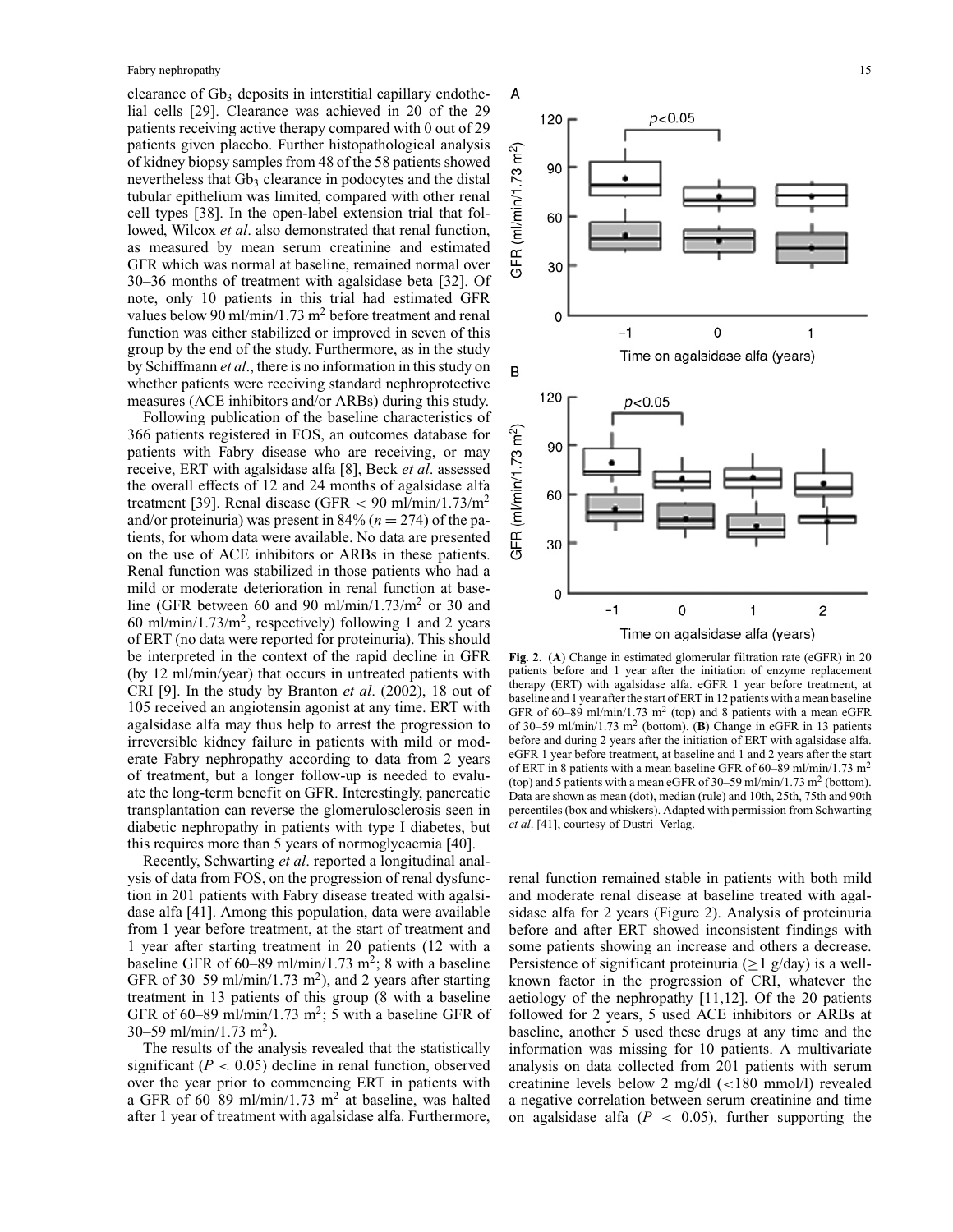clearance of  $Gb_3$  deposits in interstitial capillary endothelial cells [29]. Clearance was achieved in 20 of the 29 patients receiving active therapy compared with 0 out of 29 patients given placebo. Further histopathological analysis of kidney biopsy samples from 48 of the 58 patients showed nevertheless that Gb<sub>3</sub> clearance in podocytes and the distal tubular epithelium was limited, compared with other renal cell types [38]. In the open-label extension trial that followed, Wilcox *et al*. also demonstrated that renal function, as measured by mean serum creatinine and estimated GFR which was normal at baseline, remained normal over 30–36 months of treatment with agalsidase beta [32]. Of note, only 10 patients in this trial had estimated GFR values below 90 ml/min/1.73 m<sup>2</sup> before treatment and renal function was either stabilized or improved in seven of this group by the end of the study. Furthermore, as in the study by Schiffmann *et al*., there is no information in this study on whether patients were receiving standard nephroprotective measures (ACE inhibitors and/or ARBs) during this study.

Following publication of the baseline characteristics of 366 patients registered in FOS, an outcomes database for patients with Fabry disease who are receiving, or may receive, ERT with agalsidase alfa [8], Beck *et al*. assessed the overall effects of 12 and 24 months of agalsidase alfa treatment [39]. Renal disease (GFR  $<$  90 ml/min/1.73/m<sup>2</sup> and/or proteinuria) was present in 84% ( $n = 274$ ) of the patients, for whom data were available. No data are presented on the use of ACE inhibitors or ARBs in these patients. Renal function was stabilized in those patients who had a mild or moderate deterioration in renal function at baseline (GFR between 60 and 90 ml/min/1.73/m<sup>2</sup> or 30 and 60 ml/min/1.73/m<sup>2</sup>, respectively) following 1 and 2 years of ERT (no data were reported for proteinuria). This should be interpreted in the context of the rapid decline in GFR (by 12 ml/min/year) that occurs in untreated patients with CRI [9]. In the study by Branton *et al*. (2002), 18 out of 105 received an angiotensin agonist at any time. ERT with agalsidase alfa may thus help to arrest the progression to irreversible kidney failure in patients with mild or moderate Fabry nephropathy according to data from 2 years of treatment, but a longer follow-up is needed to evaluate the long-term benefit on GFR. Interestingly, pancreatic transplantation can reverse the glomerulosclerosis seen in diabetic nephropathy in patients with type I diabetes, but this requires more than 5 years of normoglycaemia [40].

Recently, Schwarting *et al*. reported a longitudinal analysis of data from FOS, on the progression of renal dysfunction in 201 patients with Fabry disease treated with agalsidase alfa [41]. Among this population, data were available from 1 year before treatment, at the start of treatment and 1 year after starting treatment in 20 patients (12 with a baseline GFR of  $60-89$  ml/min/1.73 m<sup>2</sup>; 8 with a baseline GFR of 30–59 ml/min/1.73 m<sup>2</sup>), and 2 years after starting treatment in 13 patients of this group (8 with a baseline GFR of 60–89 ml/min/1.73 m<sup>2</sup>; 5 with a baseline GFR of 30–59 ml/min/1.73 m<sup>2</sup>).

The results of the analysis revealed that the statistically significant  $(P < 0.05)$  decline in renal function, observed over the year prior to commencing ERT in patients with a GFR of 60–89 ml/min/1.73 m<sup>2</sup> at baseline, was halted after 1 year of treatment with agalsidase alfa. Furthermore,



**Fig. 2.** (**A**) Change in estimated glomerular filtration rate (eGFR) in 20 patients before and 1 year after the initiation of enzyme replacement therapy (ERT) with agalsidase alfa. eGFR 1 year before treatment, at baseline and 1 year after the start of ERT in 12 patients with a mean baseline GFR of 60–89 ml/min/1.73 m<sup>2</sup> (top) and 8 patients with a mean eGFR of 30–59 ml/min/1.73 m<sup>2</sup> (bottom). (**B**) Change in eGFR in 13 patients before and during 2 years after the initiation of ERT with agalsidase alfa. eGFR 1 year before treatment, at baseline and 1 and 2 years after the start of ERT in 8 patients with a mean baseline GFR of 60–89 ml/min/1.73 m2 (top) and 5 patients with a mean eGFR of  $30-59$  ml/min/1.73 m<sup>2</sup> (bottom). Data are shown as mean (dot), median (rule) and 10th, 25th, 75th and 90th percentiles (box and whiskers). Adapted with permission from Schwarting *et al*. [41], courtesy of Dustri–Verlag.

renal function remained stable in patients with both mild and moderate renal disease at baseline treated with agalsidase alfa for 2 years (Figure 2). Analysis of proteinuria before and after ERT showed inconsistent findings with some patients showing an increase and others a decrease. Persistence of significant proteinuria ( $\geq 1$  g/day) is a wellknown factor in the progression of CRI, whatever the aetiology of the nephropathy [11,12]. Of the 20 patients followed for 2 years, 5 used ACE inhibitors or ARBs at baseline, another 5 used these drugs at any time and the information was missing for 10 patients. A multivariate analysis on data collected from 201 patients with serum creatinine levels below 2 mg/dl (<180 mmol/l) revealed a negative correlation between serum creatinine and time on agalsidase alfa  $(P < 0.05)$ , further supporting the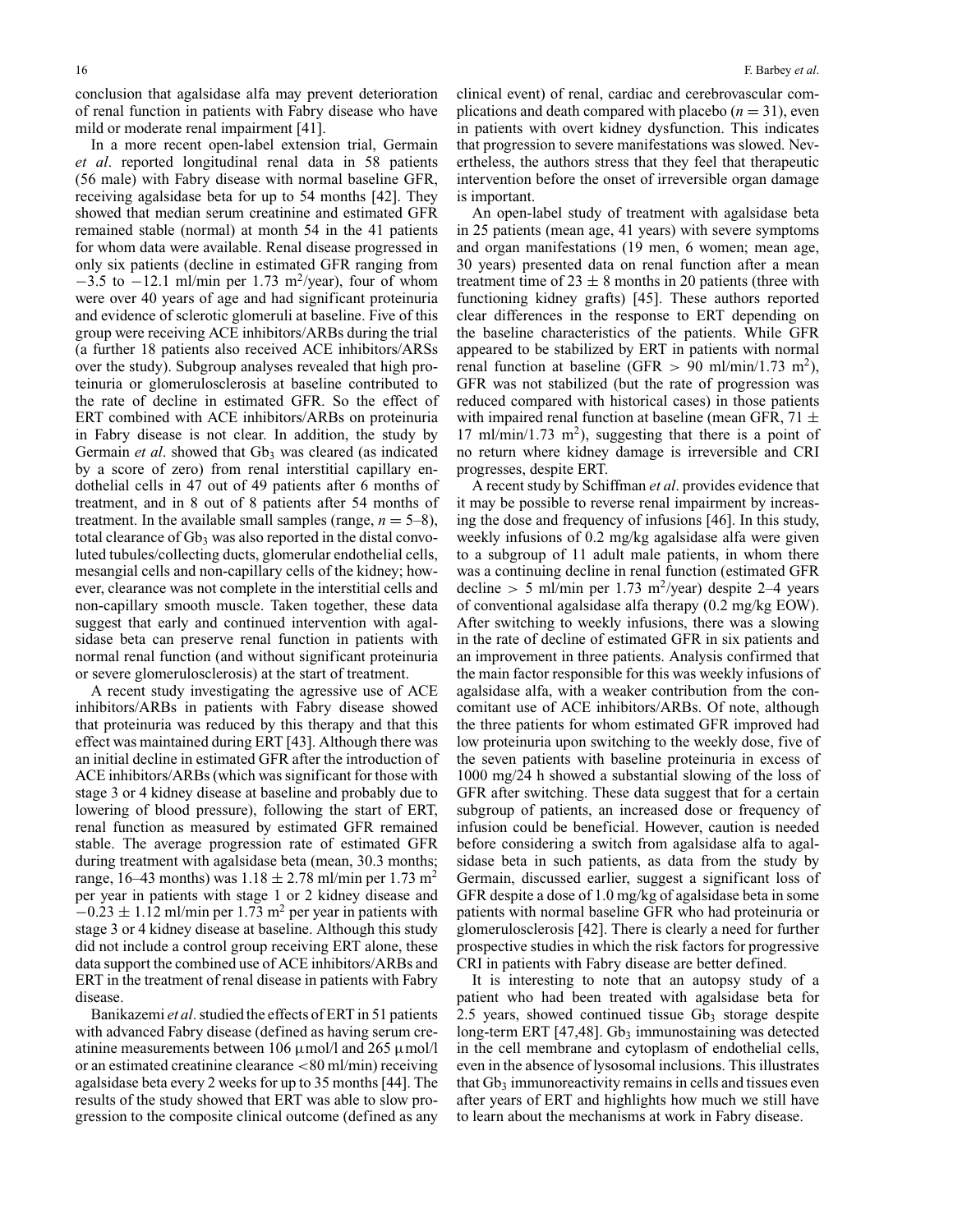conclusion that agalsidase alfa may prevent deterioration of renal function in patients with Fabry disease who have mild or moderate renal impairment [41].

In a more recent open-label extension trial, Germain *et al*. reported longitudinal renal data in 58 patients (56 male) with Fabry disease with normal baseline GFR, receiving agalsidase beta for up to 54 months [42]. They showed that median serum creatinine and estimated GFR remained stable (normal) at month 54 in the 41 patients for whom data were available. Renal disease progressed in only six patients (decline in estimated GFR ranging from  $-3.5$  to  $-12.1$  ml/min per 1.73 m<sup>2</sup>/year), four of whom were over 40 years of age and had significant proteinuria and evidence of sclerotic glomeruli at baseline. Five of this group were receiving ACE inhibitors/ARBs during the trial (a further 18 patients also received ACE inhibitors/ARSs over the study). Subgroup analyses revealed that high proteinuria or glomerulosclerosis at baseline contributed to the rate of decline in estimated GFR. So the effect of ERT combined with ACE inhibitors/ARBs on proteinuria in Fabry disease is not clear. In addition, the study by Germain *et al.* showed that Gb<sub>3</sub> was cleared (as indicated by a score of zero) from renal interstitial capillary endothelial cells in 47 out of 49 patients after 6 months of treatment, and in 8 out of 8 patients after 54 months of treatment. In the available small samples (range,  $n = 5-8$ ), total clearance of  $Gb_3$  was also reported in the distal convoluted tubules/collecting ducts, glomerular endothelial cells, mesangial cells and non-capillary cells of the kidney; however, clearance was not complete in the interstitial cells and non-capillary smooth muscle. Taken together, these data suggest that early and continued intervention with agalsidase beta can preserve renal function in patients with normal renal function (and without significant proteinuria or severe glomerulosclerosis) at the start of treatment.

A recent study investigating the agressive use of ACE inhibitors/ARBs in patients with Fabry disease showed that proteinuria was reduced by this therapy and that this effect was maintained during ERT [43]. Although there was an initial decline in estimated GFR after the introduction of ACE inhibitors/ARBs (which was significant for those with stage 3 or 4 kidney disease at baseline and probably due to lowering of blood pressure), following the start of ERT, renal function as measured by estimated GFR remained stable. The average progression rate of estimated GFR during treatment with agalsidase beta (mean, 30.3 months; range, 16–43 months) was  $1.18 \pm 2.78$  ml/min per 1.73 m<sup>2</sup> per year in patients with stage 1 or 2 kidney disease and  $-0.23 \pm 1.12$  ml/min per 1.73 m<sup>2</sup> per year in patients with stage 3 or 4 kidney disease at baseline. Although this study did not include a control group receiving ERT alone, these data support the combined use of ACE inhibitors/ARBs and ERT in the treatment of renal disease in patients with Fabry disease.

Banikazemi *et al*. studied the effects of ERT in 51 patients with advanced Fabry disease (defined as having serum creatinine measurements between 106  $\mu$ mol/l and 265  $\mu$ mol/l or an estimated creatinine clearance <80 ml/min) receiving agalsidase beta every 2 weeks for up to 35 months [44]. The results of the study showed that ERT was able to slow progression to the composite clinical outcome (defined as any

clinical event) of renal, cardiac and cerebrovascular complications and death compared with placebo  $(n = 31)$ , even in patients with overt kidney dysfunction. This indicates that progression to severe manifestations was slowed. Nevertheless, the authors stress that they feel that therapeutic intervention before the onset of irreversible organ damage is important.

An open-label study of treatment with agalsidase beta in 25 patients (mean age, 41 years) with severe symptoms and organ manifestations (19 men, 6 women; mean age, 30 years) presented data on renal function after a mean treatment time of  $23 \pm 8$  months in 20 patients (three with functioning kidney grafts) [45]. These authors reported clear differences in the response to ERT depending on the baseline characteristics of the patients. While GFR appeared to be stabilized by ERT in patients with normal renal function at baseline (GFR  $> 90$  ml/min/1.73 m<sup>2</sup>), GFR was not stabilized (but the rate of progression was reduced compared with historical cases) in those patients with impaired renal function at baseline (mean GFR,  $71 \pm$ 17 ml/min/1.73 m<sup>2</sup>), suggesting that there is a point of no return where kidney damage is irreversible and CRI progresses, despite ERT.

A recent study by Schiffman *et al*. provides evidence that it may be possible to reverse renal impairment by increasing the dose and frequency of infusions [46]. In this study, weekly infusions of 0.2 mg/kg agalsidase alfa were given to a subgroup of 11 adult male patients, in whom there was a continuing decline in renal function (estimated GFR decline > 5 ml/min per 1.73 m<sup>2</sup>/year) despite 2–4 years of conventional agalsidase alfa therapy (0.2 mg/kg EOW). After switching to weekly infusions, there was a slowing in the rate of decline of estimated GFR in six patients and an improvement in three patients. Analysis confirmed that the main factor responsible for this was weekly infusions of agalsidase alfa, with a weaker contribution from the concomitant use of ACE inhibitors/ARBs. Of note, although the three patients for whom estimated GFR improved had low proteinuria upon switching to the weekly dose, five of the seven patients with baseline proteinuria in excess of 1000 mg/24 h showed a substantial slowing of the loss of GFR after switching. These data suggest that for a certain subgroup of patients, an increased dose or frequency of infusion could be beneficial. However, caution is needed before considering a switch from agalsidase alfa to agalsidase beta in such patients, as data from the study by Germain, discussed earlier, suggest a significant loss of GFR despite a dose of 1.0 mg/kg of agalsidase beta in some patients with normal baseline GFR who had proteinuria or glomerulosclerosis [42]. There is clearly a need for further prospective studies in which the risk factors for progressive CRI in patients with Fabry disease are better defined.

It is interesting to note that an autopsy study of a patient who had been treated with agalsidase beta for 2.5 years, showed continued tissue  $Gb<sub>3</sub>$  storage despite long-term ERT  $[47, 48]$ . Gb<sub>3</sub> immunostaining was detected in the cell membrane and cytoplasm of endothelial cells, even in the absence of lysosomal inclusions. This illustrates that  $Gb_3$  immunoreactivity remains in cells and tissues even after years of ERT and highlights how much we still have to learn about the mechanisms at work in Fabry disease.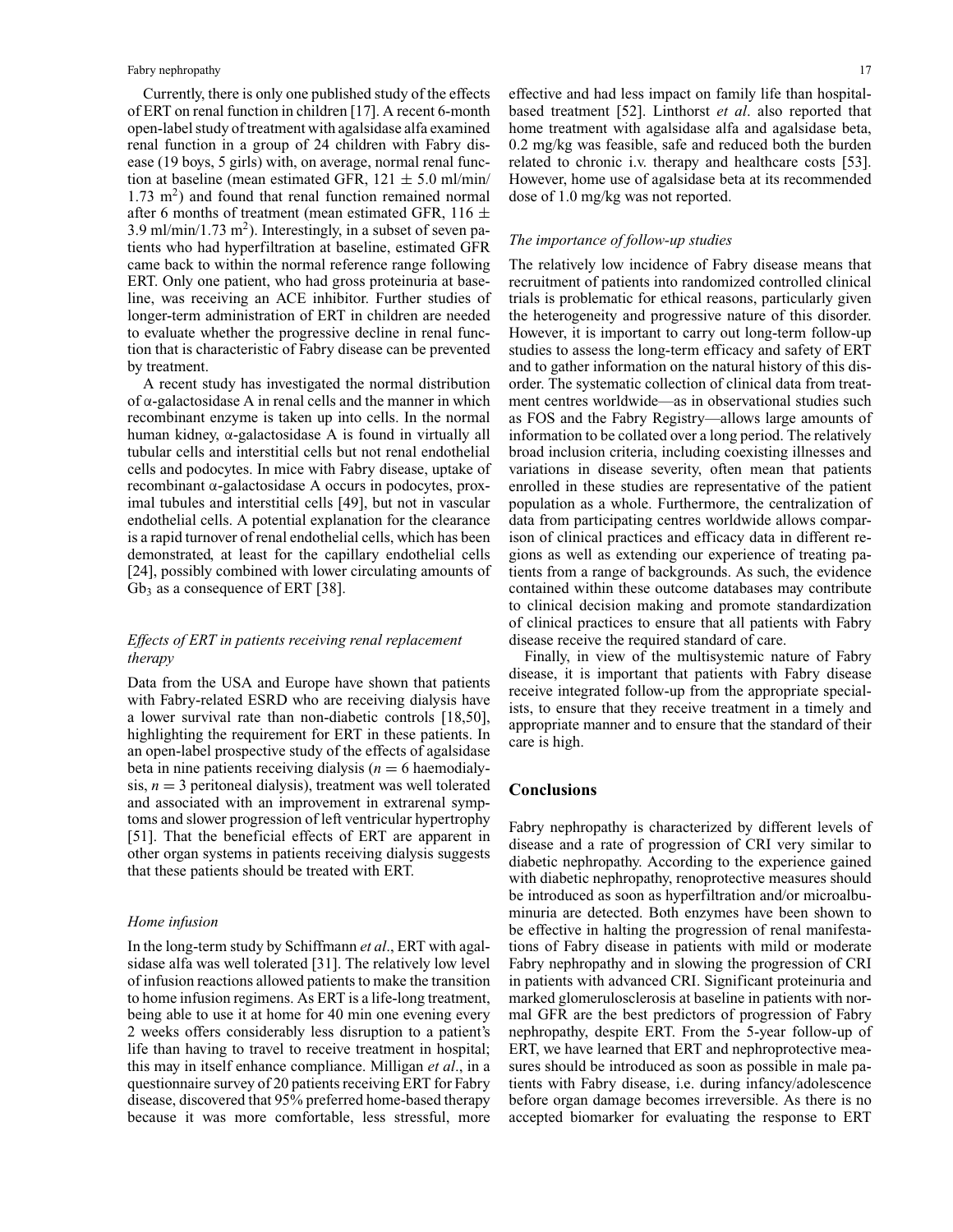Currently, there is only one published study of the effects of ERT on renal function in children [17]. A recent 6-month open-label study of treatment with agalsidase alfa examined renal function in a group of 24 children with Fabry disease (19 boys, 5 girls) with, on average, normal renal function at baseline (mean estimated GFR,  $121 \pm 5.0$  ml/min/  $1.73 \text{ m}^2$ ) and found that renal function remained normal after 6 months of treatment (mean estimated GFR, 116  $\pm$ 3.9 ml/min/1.73 m<sup>2</sup>). Interestingly, in a subset of seven patients who had hyperfiltration at baseline, estimated GFR came back to within the normal reference range following ERT. Only one patient, who had gross proteinuria at baseline, was receiving an ACE inhibitor. Further studies of longer-term administration of ERT in children are needed to evaluate whether the progressive decline in renal function that is characteristic of Fabry disease can be prevented by treatment.

A recent study has investigated the normal distribution of  $\alpha$ -galactosidase A in renal cells and the manner in which recombinant enzyme is taken up into cells. In the normal human kidney, α-galactosidase A is found in virtually all tubular cells and interstitial cells but not renal endothelial cells and podocytes. In mice with Fabry disease, uptake of recombinant α-galactosidase A occurs in podocytes, proximal tubules and interstitial cells [49], but not in vascular endothelial cells. A potential explanation for the clearance is a rapid turnover of renal endothelial cells, which has been demonstrated, at least for the capillary endothelial cells [24], possibly combined with lower circulating amounts of  $Gb<sub>3</sub>$  as a consequence of ERT [38].

# *Effects of ERT in patients receiving renal replacement therapy*

Data from the USA and Europe have shown that patients with Fabry-related ESRD who are receiving dialysis have a lower survival rate than non-diabetic controls [18,50], highlighting the requirement for ERT in these patients. In an open-label prospective study of the effects of agalsidase beta in nine patients receiving dialysis  $(n = 6$  haemodialysis,  $n = 3$  peritoneal dialysis), treatment was well tolerated and associated with an improvement in extrarenal symptoms and slower progression of left ventricular hypertrophy [51]. That the beneficial effects of ERT are apparent in other organ systems in patients receiving dialysis suggests that these patients should be treated with ERT.

#### *Home infusion*

In the long-term study by Schiffmann *et al*., ERT with agalsidase alfa was well tolerated [31]. The relatively low level of infusion reactions allowed patients to make the transition to home infusion regimens. As ERT is a life-long treatment, being able to use it at home for 40 min one evening every 2 weeks offers considerably less disruption to a patient's life than having to travel to receive treatment in hospital; this may in itself enhance compliance. Milligan *et al*., in a questionnaire survey of 20 patients receiving ERT for Fabry disease, discovered that 95% preferred home-based therapy because it was more comfortable, less stressful, more

effective and had less impact on family life than hospitalbased treatment [52]. Linthorst *et al*. also reported that home treatment with agalsidase alfa and agalsidase beta, 0.2 mg/kg was feasible, safe and reduced both the burden related to chronic i.v. therapy and healthcare costs [53]. However, home use of agalsidase beta at its recommended dose of 1.0 mg/kg was not reported.

## *The importance of follow-up studies*

The relatively low incidence of Fabry disease means that recruitment of patients into randomized controlled clinical trials is problematic for ethical reasons, particularly given the heterogeneity and progressive nature of this disorder. However, it is important to carry out long-term follow-up studies to assess the long-term efficacy and safety of ERT and to gather information on the natural history of this disorder. The systematic collection of clinical data from treatment centres worldwide—as in observational studies such as FOS and the Fabry Registry—allows large amounts of information to be collated over a long period. The relatively broad inclusion criteria, including coexisting illnesses and variations in disease severity, often mean that patients enrolled in these studies are representative of the patient population as a whole. Furthermore, the centralization of data from participating centres worldwide allows comparison of clinical practices and efficacy data in different regions as well as extending our experience of treating patients from a range of backgrounds. As such, the evidence contained within these outcome databases may contribute to clinical decision making and promote standardization of clinical practices to ensure that all patients with Fabry disease receive the required standard of care.

Finally, in view of the multisystemic nature of Fabry disease, it is important that patients with Fabry disease receive integrated follow-up from the appropriate specialists, to ensure that they receive treatment in a timely and appropriate manner and to ensure that the standard of their care is high.

## **Conclusions**

Fabry nephropathy is characterized by different levels of disease and a rate of progression of CRI very similar to diabetic nephropathy. According to the experience gained with diabetic nephropathy, renoprotective measures should be introduced as soon as hyperfiltration and/or microalbuminuria are detected. Both enzymes have been shown to be effective in halting the progression of renal manifestations of Fabry disease in patients with mild or moderate Fabry nephropathy and in slowing the progression of CRI in patients with advanced CRI. Significant proteinuria and marked glomerulosclerosis at baseline in patients with normal GFR are the best predictors of progression of Fabry nephropathy, despite ERT. From the 5-year follow-up of ERT, we have learned that ERT and nephroprotective measures should be introduced as soon as possible in male patients with Fabry disease, i.e. during infancy/adolescence before organ damage becomes irreversible. As there is no accepted biomarker for evaluating the response to ERT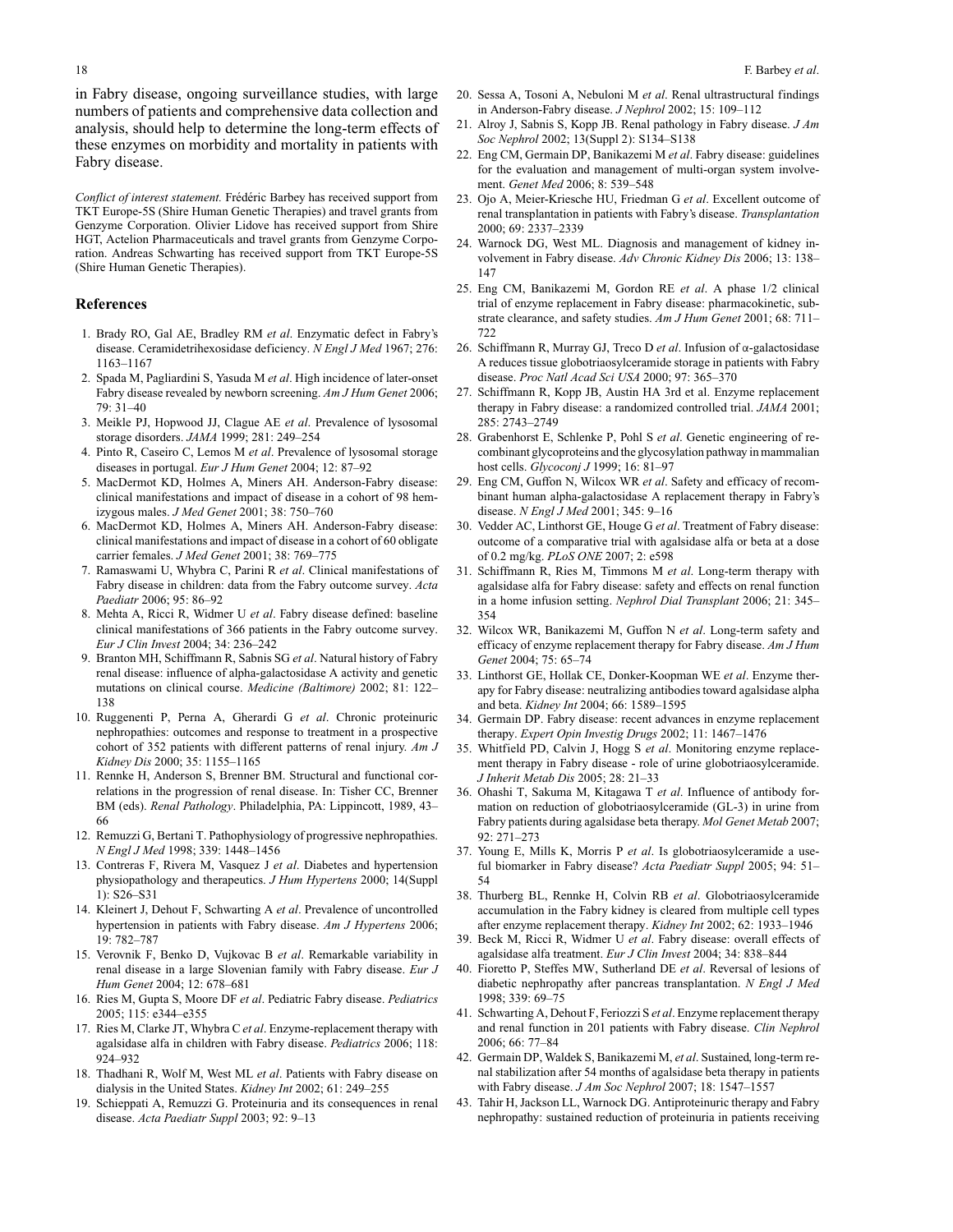in Fabry disease, ongoing surveillance studies, with large numbers of patients and comprehensive data collection and analysis, should help to determine the long-term effects of these enzymes on morbidity and mortality in patients with Fabry disease.

*Conflict of interest statement.* Frédéric Barbey has received support from TKT Europe-5S (Shire Human Genetic Therapies) and travel grants from Genzyme Corporation. Olivier Lidove has received support from Shire HGT, Actelion Pharmaceuticals and travel grants from Genzyme Corporation. Andreas Schwarting has received support from TKT Europe-5S (Shire Human Genetic Therapies).

#### **References**

- 1. Brady RO, Gal AE, Bradley RM *et al*. Enzymatic defect in Fabry's disease. Ceramidetrihexosidase deficiency. *N Engl J Med* 1967; 276: 1163–1167
- 2. Spada M, Pagliardini S, Yasuda M *et al*. High incidence of later-onset Fabry disease revealed by newborn screening. *Am J Hum Genet* 2006;  $79.31 - 40$
- 3. Meikle PJ, Hopwood JJ, Clague AE *et al*. Prevalence of lysosomal storage disorders. *JAMA* 1999; 281: 249–254
- 4. Pinto R, Caseiro C, Lemos M *et al*. Prevalence of lysosomal storage diseases in portugal. *Eur J Hum Genet* 2004; 12: 87–92
- 5. MacDermot KD, Holmes A, Miners AH. Anderson-Fabry disease: clinical manifestations and impact of disease in a cohort of 98 hemizygous males. *J Med Genet* 2001; 38: 750–760
- 6. MacDermot KD, Holmes A, Miners AH. Anderson-Fabry disease: clinical manifestations and impact of disease in a cohort of 60 obligate carrier females. *J Med Genet* 2001; 38: 769–775
- 7. Ramaswami U, Whybra C, Parini R *et al*. Clinical manifestations of Fabry disease in children: data from the Fabry outcome survey. *Acta Paediatr* 2006; 95: 86–92
- 8. Mehta A, Ricci R, Widmer U *et al*. Fabry disease defined: baseline clinical manifestations of 366 patients in the Fabry outcome survey. *Eur J Clin Invest* 2004; 34: 236–242
- 9. Branton MH, Schiffmann R, Sabnis SG *et al*. Natural history of Fabry renal disease: influence of alpha-galactosidase A activity and genetic mutations on clinical course. *Medicine (Baltimore)* 2002; 81: 122– 138
- 10. Ruggenenti P, Perna A, Gherardi G *et al*. Chronic proteinuric nephropathies: outcomes and response to treatment in a prospective cohort of 352 patients with different patterns of renal injury. *Am J Kidney Dis* 2000; 35: 1155–1165
- 11. Rennke H, Anderson S, Brenner BM. Structural and functional correlations in the progression of renal disease. In: Tisher CC, Brenner BM (eds). *Renal Pathology*. Philadelphia, PA: Lippincott, 1989, 43– 66
- 12. Remuzzi G, Bertani T. Pathophysiology of progressive nephropathies. *N Engl J Med* 1998; 339: 1448–1456
- 13. Contreras F, Rivera M, Vasquez J *et al*. Diabetes and hypertension physiopathology and therapeutics. *J Hum Hypertens* 2000; 14(Suppl 1): S26–S31
- 14. Kleinert J, Dehout F, Schwarting A *et al*. Prevalence of uncontrolled hypertension in patients with Fabry disease. *Am J Hypertens* 2006; 19: 782–787
- 15. Verovnik F, Benko D, Vujkovac B *et al*. Remarkable variability in renal disease in a large Slovenian family with Fabry disease. *Eur J Hum Genet* 2004; 12: 678–681
- 16. Ries M, Gupta S, Moore DF *et al*. Pediatric Fabry disease. *Pediatrics* 2005; 115: e344–e355
- 17. Ries M, Clarke JT, Whybra C *et al*. Enzyme-replacement therapy with agalsidase alfa in children with Fabry disease. *Pediatrics* 2006; 118: 924–932
- 18. Thadhani R, Wolf M, West ML *et al*. Patients with Fabry disease on dialysis in the United States. *Kidney Int* 2002; 61: 249–255
- 19. Schieppati A, Remuzzi G. Proteinuria and its consequences in renal disease. *Acta Paediatr Suppl* 2003; 92: 9–13
- 20. Sessa A, Tosoni A, Nebuloni M *et al*. Renal ultrastructural findings in Anderson-Fabry disease. *J Nephrol* 2002; 15: 109–112
- 21. Alroy J, Sabnis S, Kopp JB. Renal pathology in Fabry disease. *J Am Soc Nephrol* 2002; 13(Suppl 2): S134–S138
- 22. Eng CM, Germain DP, Banikazemi M *et al*. Fabry disease: guidelines for the evaluation and management of multi-organ system involvement. *Genet Med* 2006; 8: 539–548
- 23. Ojo A, Meier-Kriesche HU, Friedman G *et al*. Excellent outcome of renal transplantation in patients with Fabry's disease. *Transplantation* 2000; 69: 2337–2339
- 24. Warnock DG, West ML. Diagnosis and management of kidney involvement in Fabry disease. *Adv Chronic Kidney Dis* 2006; 13: 138– 147
- 25. Eng CM, Banikazemi M, Gordon RE *et al*. A phase 1/2 clinical trial of enzyme replacement in Fabry disease: pharmacokinetic, substrate clearance, and safety studies. *Am J Hum Genet* 2001; 68: 711– 722
- 26. Schiffmann R, Murray GJ, Treco D *et al*. Infusion of α-galactosidase A reduces tissue globotriaosylceramide storage in patients with Fabry disease. *Proc Natl Acad Sci USA* 2000; 97: 365–370
- 27. Schiffmann R, Kopp JB, Austin HA 3rd et al. Enzyme replacement therapy in Fabry disease: a randomized controlled trial. *JAMA* 2001; 285: 2743–2749
- 28. Grabenhorst E, Schlenke P, Pohl S *et al*. Genetic engineering of recombinant glycoproteins and the glycosylation pathway in mammalian host cells. *Glycoconj J* 1999; 16: 81–97
- 29. Eng CM, Guffon N, Wilcox WR *et al*. Safety and efficacy of recombinant human alpha-galactosidase A replacement therapy in Fabry's disease. *N Engl J Med* 2001; 345: 9–16
- 30. Vedder AC, Linthorst GE, Houge G *et al*. Treatment of Fabry disease: outcome of a comparative trial with agalsidase alfa or beta at a dose of 0.2 mg/kg. *PLoS ONE* 2007; 2: e598
- 31. Schiffmann R, Ries M, Timmons M *et al*. Long-term therapy with agalsidase alfa for Fabry disease: safety and effects on renal function in a home infusion setting. *Nephrol Dial Transplant* 2006; 21: 345– 354
- 32. Wilcox WR, Banikazemi M, Guffon N *et al*. Long-term safety and efficacy of enzyme replacement therapy for Fabry disease. *Am J Hum Genet* 2004; 75: 65–74
- 33. Linthorst GE, Hollak CE, Donker-Koopman WE *et al*. Enzyme therapy for Fabry disease: neutralizing antibodies toward agalsidase alpha and beta. *Kidney Int* 2004; 66: 1589–1595
- 34. Germain DP. Fabry disease: recent advances in enzyme replacement therapy. *Expert Opin Investig Drugs* 2002; 11: 1467–1476
- 35. Whitfield PD, Calvin J, Hogg S *et al*. Monitoring enzyme replacement therapy in Fabry disease - role of urine globotriaosylceramide. *J Inherit Metab Dis* 2005; 28: 21–33
- 36. Ohashi T, Sakuma M, Kitagawa T *et al*. Influence of antibody formation on reduction of globotriaosylceramide (GL-3) in urine from Fabry patients during agalsidase beta therapy. *Mol Genet Metab* 2007; 92: 271–273
- 37. Young E, Mills K, Morris P *et al*. Is globotriaosylceramide a useful biomarker in Fabry disease? *Acta Paediatr Suppl* 2005; 94: 51– 54
- 38. Thurberg BL, Rennke H, Colvin RB *et al*. Globotriaosylceramide accumulation in the Fabry kidney is cleared from multiple cell types after enzyme replacement therapy. *Kidney Int* 2002; 62: 1933–1946
- 39. Beck M, Ricci R, Widmer U *et al*. Fabry disease: overall effects of agalsidase alfa treatment. *Eur J Clin Invest* 2004; 34: 838–844
- 40. Fioretto P, Steffes MW, Sutherland DE *et al*. Reversal of lesions of diabetic nephropathy after pancreas transplantation. *N Engl J Med* 1998; 339: 69–75
- 41. Schwarting A, Dehout F, Feriozzi S *et al*. Enzyme replacement therapy and renal function in 201 patients with Fabry disease. *Clin Nephrol* 2006; 66: 77–84
- 42. Germain DP, Waldek S, Banikazemi M, *et al*. Sustained, long-term renal stabilization after 54 months of agalsidase beta therapy in patients with Fabry disease. *J Am Soc Nephrol* 2007; 18: 1547–1557
- 43. Tahir H, Jackson LL, Warnock DG. Antiproteinuric therapy and Fabry nephropathy: sustained reduction of proteinuria in patients receiving